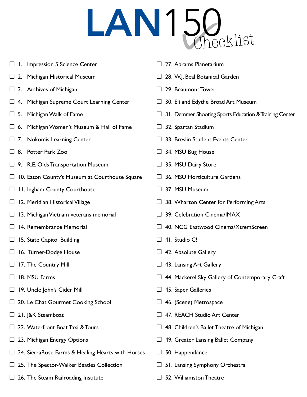## LAN150

- $\Box$  I. Impression 5 Science Center
- $\square$  2. Michigan Historical Museum
- $\Box$  3. Archives of Michigan
- $\Box$  4. Michigan Supreme Court Learning Center
- $\Box$  5. Michigan Walk of Fame
- $\Box$  6. Michigan Women's Museum & Hall of Fame
- $\Box$  7. Nokomis Learning Center
- □ 8. Potter Park Zoo
- $\Box$  9. R.E. Olds Transportation Museum
- □ 10. Eaton County's Museum at Courthouse Square
- □ 11. Ingham County Courthouse
- $\Box$  12. Meridian Historical Village
- $\Box$  13. Michigan Vietnam veterans memorial
- □ 14. Remembrance Memorial
- $\Box$  15. State Capitol Building
- □ 16. Turner-Dodge House
- $\Box$  17. The Country Mill
- □ 18. MSU Farms
- □ 19. Uncle John's Cider Mill
- $\Box$  20. Le Chat Gourmet Cooking School
- □ 21. J&K Steamboat
- □ 22. Waterfront Boat Taxi & Tours
- $\Box$  23. Michigan Energy Options
- $\Box$  24. SierraRose Farms & Healing Hearts with Horses
- $\Box$  25. The Spector-Walker Beatles Collection
- $\Box$  26. The Steam Railroading Institute
- $\Box$  27. Abrams Planetarium
- $\square$  28. W.J. Beal Botanical Garden
- □ 29. Beaumont Tower
- $\Box$  30. Eli and Edythe Broad Art Museum
- $\Box$  31. Demmer Shooting Sports Education & Training Center
- $\Box$  32. Spartan Stadium
- $\Box$  33. Breslin Student Events Center
- $\Box$  34. MSU Bug House
- $\Box$  35. MSU Dairy Store
- $\Box$  36. MSU Horticulture Gardens
- □ 37. MSU Museum
- $\Box$  38. Wharton Center for Performing Arts
- $\square$  39. Celebration Cinema/IMAX
- □ 40. NCG Eastwood Cinema/XtremScreen
- $\Box$  41. Studio C!
- $\Box$  42. Absolute Gallery
- $\Box$  43. Lansing Art Gallery
- □ 44. Mackerel Sky Gallery of Contemporary Craft
- $\Box$  45. Saper Galleries
- $\Box$  46. (Scene) Metrospace
- $\Box$  47. REACH Studio Art Center
- $\Box$  48. Children's Ballet Theatre of Michigan
- $\Box$  49. Greater Lansing Ballet Company
- $\Box$  50. Happendance
- $\Box$  51. Lansing Symphony Orchestra
- $\Box$  52. Williamston Theatre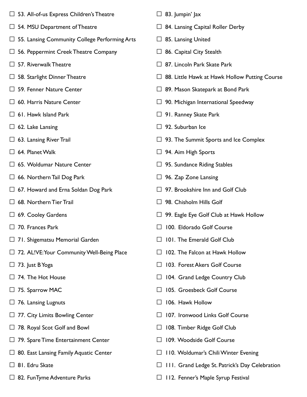- $\Box$  53. All-of-us Express Children's Theatre
- $\Box$  54. MSU Department of Theatre
- □ 55. Lansing Community College Performing Arts
- $\Box$  56. Peppermint Creek Theatre Company
- $\Box$  57. Riverwalk Theatre
- $\Box$  58. Starlight Dinner Theatre
- □ 59. Fenner Nature Center
- $\Box$  60. Harris Nature Center
- $\Box$  61. Hawk Island Park
- $\Box$  62. Lake Lansing
- $\Box$  63. Lansing River Trail
- $\Box$  64. Planet Walk
- □ 65. Woldumar Nature Center
- $\Box$  66. Northern Tail Dog Park
- $\Box$  67. Howard and Erna Soldan Dog Park
- $\Box$  68. Northern Tier Trail
- $\Box$  69. Cooley Gardens
- □ 70. Frances Park
- $\Box$  71. Shigematsu Memorial Garden
- □ 72. AL!VE: Your Community Well-Being Place
- $\Box$  73. Just B Yoga
- $\Box$  74. The Hot House
- $\Box$  75. Sparrow MAC
- $\Box$  76. Lansing Lugnuts
- $\Box$  77. City Limits Bowling Center
- □ 78. Royal Scot Golf and Bowl
- $\Box$  79. Spare Time Entertainment Center
- $\Box$  80. East Lansing Family Aquatic Center
- □ 81. Edru Skate
- $\Box$  82. FunTyme Adventure Parks
- $\Box$  83. Jumpin' Jax
- $\Box$  84. Lansing Capital Roller Derby
- $\Box$  85. Lansing United
- $\Box$  86. Capital City Stealth
- $\Box$  87. Lincoln Park Skate Park
- $\Box$  88. Little Hawk at Hawk Hollow Putting Course
- $\Box$  89. Mason Skatepark at Bond Park
- $\Box$  90. Michigan International Speedway
- $\Box$  91. Ranney Skate Park
- $\Box$  92. Suburban Ice
- $\Box$  93. The Summit Sports and Ice Complex
- $\Box$  94. Aim High Sports
- $\Box$  95. Sundance Riding Stables
- $\Box$  96. Zap Zone Lansing
- $\Box$  97. Brookshire Inn and Golf Club
- $\Box$  98. Chisholm Hills Golf
- $\Box$  99. Eagle Eye Golf Club at Hawk Hollow
- □ 100. Eldorado Golf Course
- $\Box$  101. The Emerald Golf Club
- $\Box$  102. The Falcon at Hawk Hollow
- □ 103. Forest Akers Golf Course
- □ 104. Grand Ledge Country Club
- □ 105. Groesbeck Golf Course
- $\Box$  106. Hawk Hollow
- □ 107. Ironwood Links Golf Course
- □ 108. Timber Ridge Golf Club
- □ 109. Woodside Golf Course
- $\Box$  110. Woldumar's Chili Winter Evening
- □ 111. Grand Ledge St. Patrick's Day Celebration
- $\Box$  112. Fenner's Maple Syrup Festival